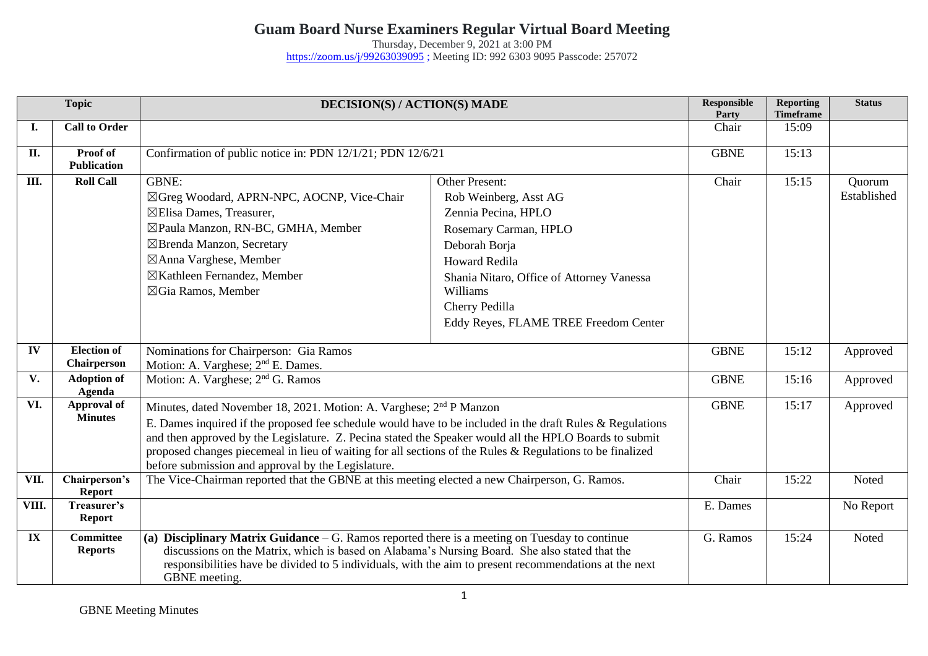## **Guam Board Nurse Examiners Regular Virtual Board Meeting**

Thursday, December 9, 2021 at 3:00 PM <https://zoom.us/j/99263039095> ; Meeting ID: 992 6303 9095 Passcode: 257072

| <b>Topic</b> |                                    | DECISION(S) / ACTION(S) MADE                                                                                                                                                                                                                                                                                                                                                                                                                                              |                                                                                                                                                                                                                                                             | <b>Responsible</b><br>Party | <b>Reporting</b><br><b>Timeframe</b> | <b>Status</b>         |
|--------------|------------------------------------|---------------------------------------------------------------------------------------------------------------------------------------------------------------------------------------------------------------------------------------------------------------------------------------------------------------------------------------------------------------------------------------------------------------------------------------------------------------------------|-------------------------------------------------------------------------------------------------------------------------------------------------------------------------------------------------------------------------------------------------------------|-----------------------------|--------------------------------------|-----------------------|
| I.           | <b>Call to Order</b>               |                                                                                                                                                                                                                                                                                                                                                                                                                                                                           |                                                                                                                                                                                                                                                             | Chair                       | 15:09                                |                       |
| П.           | Proof of<br><b>Publication</b>     | Confirmation of public notice in: PDN 12/1/21; PDN 12/6/21                                                                                                                                                                                                                                                                                                                                                                                                                |                                                                                                                                                                                                                                                             | <b>GBNE</b>                 | 15:13                                |                       |
| Ш.           | <b>Roll Call</b>                   | <b>GBNE:</b><br>⊠Greg Woodard, APRN-NPC, AOCNP, Vice-Chair<br>⊠Elisa Dames, Treasurer,<br>⊠Paula Manzon, RN-BC, GMHA, Member<br>⊠Brenda Manzon, Secretary<br>⊠Anna Varghese, Member<br>⊠Kathleen Fernandez, Member<br>⊠Gia Ramos, Member                                                                                                                                                                                                                                  | <b>Other Present:</b><br>Rob Weinberg, Asst AG<br>Zennia Pecina, HPLO<br>Rosemary Carman, HPLO<br>Deborah Borja<br><b>Howard Redila</b><br>Shania Nitaro, Office of Attorney Vanessa<br>Williams<br>Cherry Pedilla<br>Eddy Reyes, FLAME TREE Freedom Center | Chair                       | 15:15                                | Quorum<br>Established |
| IV           | <b>Election of</b><br>Chairperson  | Nominations for Chairperson: Gia Ramos<br>Motion: A. Varghese; 2 <sup>nd</sup> E. Dames.                                                                                                                                                                                                                                                                                                                                                                                  |                                                                                                                                                                                                                                                             | <b>GBNE</b>                 | 15:12                                | Approved              |
| V.           | <b>Adoption of</b><br>Agenda       | Motion: A. Varghese; 2 <sup>nd</sup> G. Ramos                                                                                                                                                                                                                                                                                                                                                                                                                             |                                                                                                                                                                                                                                                             | <b>GBNE</b>                 | 15:16                                | Approved              |
| VI.          | Approval of<br><b>Minutes</b>      | Minutes, dated November 18, 2021. Motion: A. Varghese; 2 <sup>nd</sup> P Manzon<br>E. Dames inquired if the proposed fee schedule would have to be included in the draft Rules & Regulations<br>and then approved by the Legislature. Z. Pecina stated the Speaker would all the HPLO Boards to submit<br>proposed changes piecemeal in lieu of waiting for all sections of the Rules & Regulations to be finalized<br>before submission and approval by the Legislature. |                                                                                                                                                                                                                                                             | <b>GBNE</b>                 | 15:17                                | Approved              |
| VII.         | Chairperson's<br><b>Report</b>     | The Vice-Chairman reported that the GBNE at this meeting elected a new Chairperson, G. Ramos.                                                                                                                                                                                                                                                                                                                                                                             |                                                                                                                                                                                                                                                             | Chair                       | 15:22                                | Noted                 |
| VIII.        | Treasurer's<br><b>Report</b>       |                                                                                                                                                                                                                                                                                                                                                                                                                                                                           |                                                                                                                                                                                                                                                             | E. Dames                    |                                      | No Report             |
| IX           | <b>Committee</b><br><b>Reports</b> | (a) Disciplinary Matrix Guidance $-$ G. Ramos reported there is a meeting on Tuesday to continue<br>discussions on the Matrix, which is based on Alabama's Nursing Board. She also stated that the<br>responsibilities have be divided to 5 individuals, with the aim to present recommendations at the next<br>GBNE meeting.                                                                                                                                             |                                                                                                                                                                                                                                                             | G. Ramos                    | 15:24                                | Noted                 |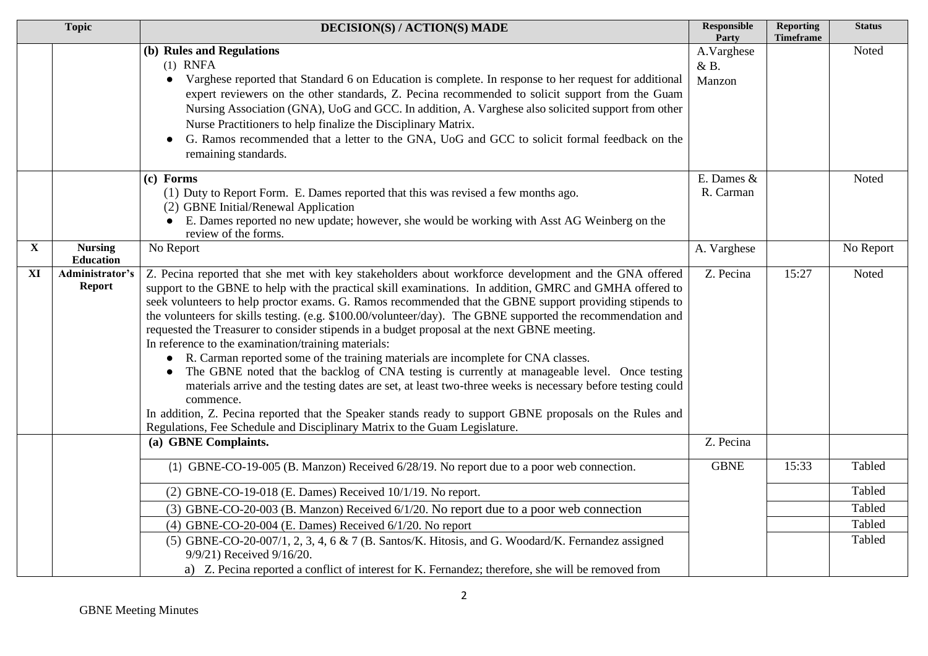|              | <b>Topic</b>                       | <b>DECISION(S) / ACTION(S) MADE</b>                                                                                                                                                                                                                                                                                                                                                                                                                                                                                                                                                                                                                                                                                                                                                                                                                                                                                                                                                                                                                                                                            | <b>Responsible</b><br>Party | <b>Reporting</b><br><b>Timeframe</b> | <b>Status</b>    |
|--------------|------------------------------------|----------------------------------------------------------------------------------------------------------------------------------------------------------------------------------------------------------------------------------------------------------------------------------------------------------------------------------------------------------------------------------------------------------------------------------------------------------------------------------------------------------------------------------------------------------------------------------------------------------------------------------------------------------------------------------------------------------------------------------------------------------------------------------------------------------------------------------------------------------------------------------------------------------------------------------------------------------------------------------------------------------------------------------------------------------------------------------------------------------------|-----------------------------|--------------------------------------|------------------|
|              |                                    | (b) Rules and Regulations<br>$(1)$ RNFA<br>Varghese reported that Standard 6 on Education is complete. In response to her request for additional<br>$\bullet$<br>expert reviewers on the other standards, Z. Pecina recommended to solicit support from the Guam<br>Nursing Association (GNA), UoG and GCC. In addition, A. Varghese also solicited support from other<br>Nurse Practitioners to help finalize the Disciplinary Matrix.<br>G. Ramos recommended that a letter to the GNA, UoG and GCC to solicit formal feedback on the<br>remaining standards.                                                                                                                                                                                                                                                                                                                                                                                                                                                                                                                                                | A.Varghese<br>&B.<br>Manzon |                                      | Noted            |
|              |                                    | (c) Forms<br>(1) Duty to Report Form. E. Dames reported that this was revised a few months ago.<br>(2) GBNE Initial/Renewal Application<br>E. Dames reported no new update; however, she would be working with Asst AG Weinberg on the<br>review of the forms.                                                                                                                                                                                                                                                                                                                                                                                                                                                                                                                                                                                                                                                                                                                                                                                                                                                 | E. Dames &<br>R. Carman     |                                      | Noted            |
| $\mathbf{X}$ | <b>Nursing</b><br><b>Education</b> | No Report                                                                                                                                                                                                                                                                                                                                                                                                                                                                                                                                                                                                                                                                                                                                                                                                                                                                                                                                                                                                                                                                                                      | A. Varghese                 |                                      | No Report        |
| XI           | Administrator's<br><b>Report</b>   | Z. Pecina reported that she met with key stakeholders about workforce development and the GNA offered<br>support to the GBNE to help with the practical skill examinations. In addition, GMRC and GMHA offered to<br>seek volunteers to help proctor exams. G. Ramos recommended that the GBNE support providing stipends to<br>the volunteers for skills testing. (e.g. \$100.00/volunteer/day). The GBNE supported the recommendation and<br>requested the Treasurer to consider stipends in a budget proposal at the next GBNE meeting.<br>In reference to the examination/training materials:<br>• R. Carman reported some of the training materials are incomplete for CNA classes.<br>The GBNE noted that the backlog of CNA testing is currently at manageable level. Once testing<br>materials arrive and the testing dates are set, at least two-three weeks is necessary before testing could<br>commence.<br>In addition, Z. Pecina reported that the Speaker stands ready to support GBNE proposals on the Rules and<br>Regulations, Fee Schedule and Disciplinary Matrix to the Guam Legislature. | Z. Pecina                   | 15:27                                | Noted            |
|              |                                    | (a) GBNE Complaints.                                                                                                                                                                                                                                                                                                                                                                                                                                                                                                                                                                                                                                                                                                                                                                                                                                                                                                                                                                                                                                                                                           | Z. Pecina                   |                                      |                  |
|              |                                    | (1) GBNE-CO-19-005 (B. Manzon) Received 6/28/19. No report due to a poor web connection.                                                                                                                                                                                                                                                                                                                                                                                                                                                                                                                                                                                                                                                                                                                                                                                                                                                                                                                                                                                                                       | <b>GBNE</b>                 | 15:33                                | Tabled           |
|              |                                    | $(2)$ GBNE-CO-19-018 (E. Dames) Received 10/1/19. No report.                                                                                                                                                                                                                                                                                                                                                                                                                                                                                                                                                                                                                                                                                                                                                                                                                                                                                                                                                                                                                                                   |                             |                                      | Tabled           |
|              |                                    | (3) GBNE-CO-20-003 (B. Manzon) Received 6/1/20. No report due to a poor web connection<br>$(4)$ GBNE-CO-20-004 (E. Dames) Received $6/1/20$ . No report                                                                                                                                                                                                                                                                                                                                                                                                                                                                                                                                                                                                                                                                                                                                                                                                                                                                                                                                                        |                             |                                      | Tabled<br>Tabled |
|              |                                    | (5) GBNE-CO-20-007/1, 2, 3, 4, 6 & 7 (B. Santos/K. Hitosis, and G. Woodard/K. Fernandez assigned<br>9/9/21) Received 9/16/20.<br>a) Z. Pecina reported a conflict of interest for K. Fernandez; therefore, she will be removed from                                                                                                                                                                                                                                                                                                                                                                                                                                                                                                                                                                                                                                                                                                                                                                                                                                                                            |                             |                                      | Tabled           |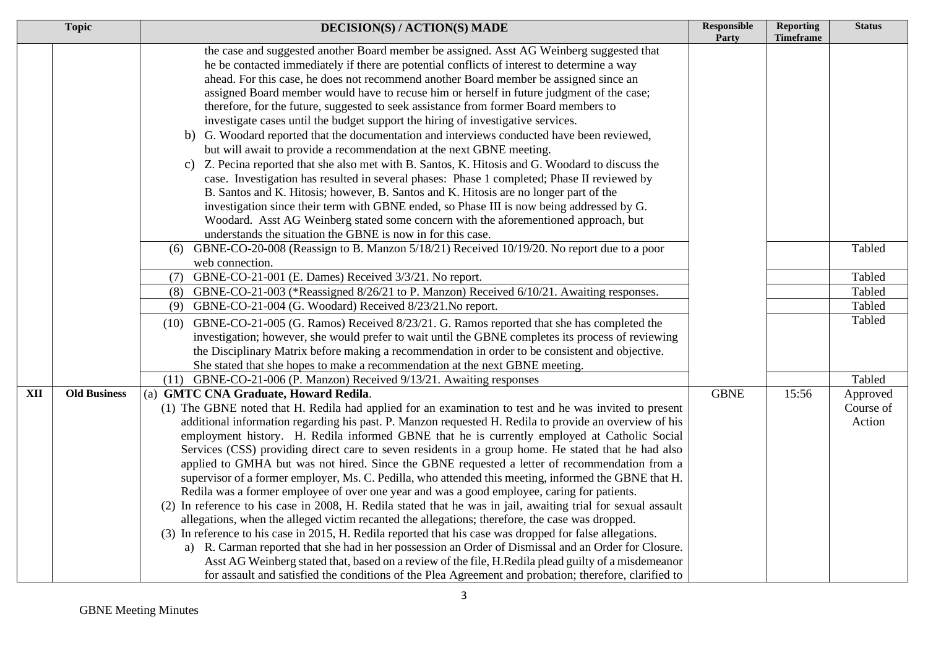|            | <b>Topic</b>        | <b>DECISION(S) / ACTION(S) MADE</b>                                                                                                                                                                                                                                                                                                                                                                                                                                                                                                                                                                                                                                                                                                                                                                                                                                                                                                                                                                                                                                                                                                                                                                                                                                                                                                                                                                                                | <b>Responsible</b><br>Party | <b>Reporting</b><br><b>Timeframe</b> | <b>Status</b>                   |
|------------|---------------------|------------------------------------------------------------------------------------------------------------------------------------------------------------------------------------------------------------------------------------------------------------------------------------------------------------------------------------------------------------------------------------------------------------------------------------------------------------------------------------------------------------------------------------------------------------------------------------------------------------------------------------------------------------------------------------------------------------------------------------------------------------------------------------------------------------------------------------------------------------------------------------------------------------------------------------------------------------------------------------------------------------------------------------------------------------------------------------------------------------------------------------------------------------------------------------------------------------------------------------------------------------------------------------------------------------------------------------------------------------------------------------------------------------------------------------|-----------------------------|--------------------------------------|---------------------------------|
|            |                     | the case and suggested another Board member be assigned. Asst AG Weinberg suggested that<br>he be contacted immediately if there are potential conflicts of interest to determine a way<br>ahead. For this case, he does not recommend another Board member be assigned since an<br>assigned Board member would have to recuse him or herself in future judgment of the case;<br>therefore, for the future, suggested to seek assistance from former Board members to<br>investigate cases until the budget support the hiring of investigative services.<br>b) G. Woodard reported that the documentation and interviews conducted have been reviewed,<br>but will await to provide a recommendation at the next GBNE meeting.<br>c) Z. Pecina reported that she also met with B. Santos, K. Hitosis and G. Woodard to discuss the<br>case. Investigation has resulted in several phases: Phase 1 completed; Phase II reviewed by<br>B. Santos and K. Hitosis; however, B. Santos and K. Hitosis are no longer part of the<br>investigation since their term with GBNE ended, so Phase III is now being addressed by G.<br>Woodard. Asst AG Weinberg stated some concern with the aforementioned approach, but                                                                                                                                                                                                                    |                             |                                      |                                 |
|            |                     | understands the situation the GBNE is now in for this case.<br>GBNE-CO-20-008 (Reassign to B. Manzon 5/18/21) Received 10/19/20. No report due to a poor<br>(6)<br>web connection.                                                                                                                                                                                                                                                                                                                                                                                                                                                                                                                                                                                                                                                                                                                                                                                                                                                                                                                                                                                                                                                                                                                                                                                                                                                 |                             |                                      | Tabled                          |
|            |                     | GBNE-CO-21-001 (E. Dames) Received 3/3/21. No report.<br>(7)                                                                                                                                                                                                                                                                                                                                                                                                                                                                                                                                                                                                                                                                                                                                                                                                                                                                                                                                                                                                                                                                                                                                                                                                                                                                                                                                                                       |                             |                                      | Tabled                          |
|            |                     | GBNE-CO-21-003 (*Reassigned 8/26/21 to P. Manzon) Received 6/10/21. Awaiting responses.<br>(8)                                                                                                                                                                                                                                                                                                                                                                                                                                                                                                                                                                                                                                                                                                                                                                                                                                                                                                                                                                                                                                                                                                                                                                                                                                                                                                                                     |                             |                                      | Tabled                          |
|            |                     | GBNE-CO-21-004 (G. Woodard) Received 8/23/21. No report.<br>(9)                                                                                                                                                                                                                                                                                                                                                                                                                                                                                                                                                                                                                                                                                                                                                                                                                                                                                                                                                                                                                                                                                                                                                                                                                                                                                                                                                                    |                             |                                      | Tabled                          |
|            |                     | GBNE-CO-21-005 (G. Ramos) Received 8/23/21. G. Ramos reported that she has completed the<br>(10)<br>investigation; however, she would prefer to wait until the GBNE completes its process of reviewing<br>the Disciplinary Matrix before making a recommendation in order to be consistent and objective.<br>She stated that she hopes to make a recommendation at the next GBNE meeting.                                                                                                                                                                                                                                                                                                                                                                                                                                                                                                                                                                                                                                                                                                                                                                                                                                                                                                                                                                                                                                          |                             |                                      | Tabled                          |
|            |                     | (11) GBNE-CO-21-006 (P. Manzon) Received 9/13/21. Awaiting responses                                                                                                                                                                                                                                                                                                                                                                                                                                                                                                                                                                                                                                                                                                                                                                                                                                                                                                                                                                                                                                                                                                                                                                                                                                                                                                                                                               |                             |                                      | Tabled                          |
| <b>XII</b> | <b>Old Business</b> | (a) GMTC CNA Graduate, Howard Redila.<br>(1) The GBNE noted that H. Redila had applied for an examination to test and he was invited to present<br>additional information regarding his past. P. Manzon requested H. Redila to provide an overview of his<br>employment history. H. Redila informed GBNE that he is currently employed at Catholic Social<br>Services (CSS) providing direct care to seven residents in a group home. He stated that he had also<br>applied to GMHA but was not hired. Since the GBNE requested a letter of recommendation from a<br>supervisor of a former employer, Ms. C. Pedilla, who attended this meeting, informed the GBNE that H.<br>Redila was a former employee of over one year and was a good employee, caring for patients.<br>(2) In reference to his case in 2008, H. Redila stated that he was in jail, awaiting trial for sexual assault<br>allegations, when the alleged victim recanted the allegations; therefore, the case was dropped.<br>(3) In reference to his case in 2015, H. Redila reported that his case was dropped for false allegations.<br>a) R. Carman reported that she had in her possession an Order of Dismissal and an Order for Closure.<br>Asst AG Weinberg stated that, based on a review of the file, H.Redila plead guilty of a misdemeanor<br>for assault and satisfied the conditions of the Plea Agreement and probation; therefore, clarified to | <b>GBNE</b>                 | 15:56                                | Approved<br>Course of<br>Action |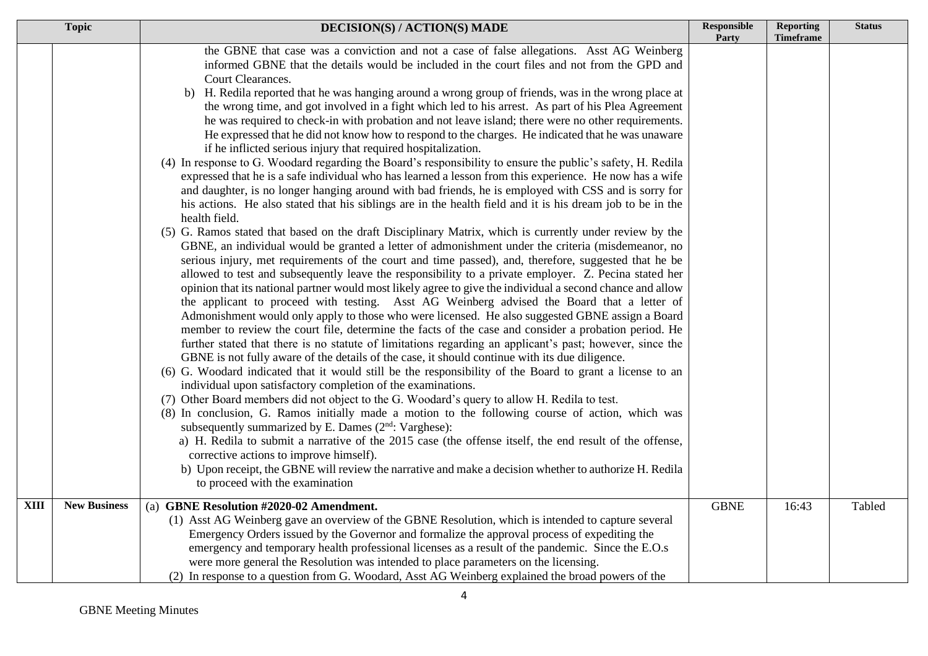|             | <b>Topic</b>        | <b>DECISION(S) / ACTION(S) MADE</b>                                                                                                                                                                                                                                                                                                                                                                                                                                                                                                                                                                                                                                                                                                                                                                                                                                                                                                                                                                                                                                                                                                                                                                                                                                                                                                                                                                                                                                                                                                                                                                                                                                                                                                                                                                                                                                                                                                                                                                                                                                                                                                                                                                                                                                                                                                                                                                                                                                                                                                                                                                                                                                                                                                                                                                                                                                                                                                                                                                     | Responsible<br>Party | <b>Reporting</b><br><b>Timeframe</b> | <b>Status</b> |
|-------------|---------------------|---------------------------------------------------------------------------------------------------------------------------------------------------------------------------------------------------------------------------------------------------------------------------------------------------------------------------------------------------------------------------------------------------------------------------------------------------------------------------------------------------------------------------------------------------------------------------------------------------------------------------------------------------------------------------------------------------------------------------------------------------------------------------------------------------------------------------------------------------------------------------------------------------------------------------------------------------------------------------------------------------------------------------------------------------------------------------------------------------------------------------------------------------------------------------------------------------------------------------------------------------------------------------------------------------------------------------------------------------------------------------------------------------------------------------------------------------------------------------------------------------------------------------------------------------------------------------------------------------------------------------------------------------------------------------------------------------------------------------------------------------------------------------------------------------------------------------------------------------------------------------------------------------------------------------------------------------------------------------------------------------------------------------------------------------------------------------------------------------------------------------------------------------------------------------------------------------------------------------------------------------------------------------------------------------------------------------------------------------------------------------------------------------------------------------------------------------------------------------------------------------------------------------------------------------------------------------------------------------------------------------------------------------------------------------------------------------------------------------------------------------------------------------------------------------------------------------------------------------------------------------------------------------------------------------------------------------------------------------------------------------------|----------------------|--------------------------------------|---------------|
|             |                     | the GBNE that case was a conviction and not a case of false allegations. Asst AG Weinberg<br>informed GBNE that the details would be included in the court files and not from the GPD and<br>Court Clearances.<br>b) H. Redila reported that he was hanging around a wrong group of friends, was in the wrong place at<br>the wrong time, and got involved in a fight which led to his arrest. As part of his Plea Agreement<br>he was required to check-in with probation and not leave island; there were no other requirements.<br>He expressed that he did not know how to respond to the charges. He indicated that he was unaware<br>if he inflicted serious injury that required hospitalization.<br>(4) In response to G. Woodard regarding the Board's responsibility to ensure the public's safety, H. Redila<br>expressed that he is a safe individual who has learned a lesson from this experience. He now has a wife<br>and daughter, is no longer hanging around with bad friends, he is employed with CSS and is sorry for<br>his actions. He also stated that his siblings are in the health field and it is his dream job to be in the<br>health field.<br>(5) G. Ramos stated that based on the draft Disciplinary Matrix, which is currently under review by the<br>GBNE, an individual would be granted a letter of admonishment under the criteria (misdemeanor, no<br>serious injury, met requirements of the court and time passed), and, therefore, suggested that he be<br>allowed to test and subsequently leave the responsibility to a private employer. Z. Pecina stated her<br>opinion that its national partner would most likely agree to give the individual a second chance and allow<br>the applicant to proceed with testing. Asst AG Weinberg advised the Board that a letter of<br>Admonishment would only apply to those who were licensed. He also suggested GBNE assign a Board<br>member to review the court file, determine the facts of the case and consider a probation period. He<br>further stated that there is no statute of limitations regarding an applicant's past; however, since the<br>GBNE is not fully aware of the details of the case, it should continue with its due diligence.<br>(6) G. Woodard indicated that it would still be the responsibility of the Board to grant a license to an<br>individual upon satisfactory completion of the examinations.<br>(7) Other Board members did not object to the G. Woodard's query to allow H. Redila to test.<br>(8) In conclusion, G. Ramos initially made a motion to the following course of action, which was<br>subsequently summarized by E. Dames (2 <sup>nd</sup> : Varghese):<br>a) H. Redila to submit a narrative of the 2015 case (the offense itself, the end result of the offense,<br>corrective actions to improve himself).<br>b) Upon receipt, the GBNE will review the narrative and make a decision whether to authorize H. Redila<br>to proceed with the examination |                      |                                      |               |
| <b>XIII</b> | <b>New Business</b> | (a) GBNE Resolution #2020-02 Amendment.<br>(1) Asst AG Weinberg gave an overview of the GBNE Resolution, which is intended to capture several<br>Emergency Orders issued by the Governor and formalize the approval process of expediting the<br>emergency and temporary health professional licenses as a result of the pandemic. Since the E.O.s<br>were more general the Resolution was intended to place parameters on the licensing.<br>(2) In response to a question from G. Woodard, Asst AG Weinberg explained the broad powers of the                                                                                                                                                                                                                                                                                                                                                                                                                                                                                                                                                                                                                                                                                                                                                                                                                                                                                                                                                                                                                                                                                                                                                                                                                                                                                                                                                                                                                                                                                                                                                                                                                                                                                                                                                                                                                                                                                                                                                                                                                                                                                                                                                                                                                                                                                                                                                                                                                                                          | <b>GBNE</b>          | 16:43                                | Tabled        |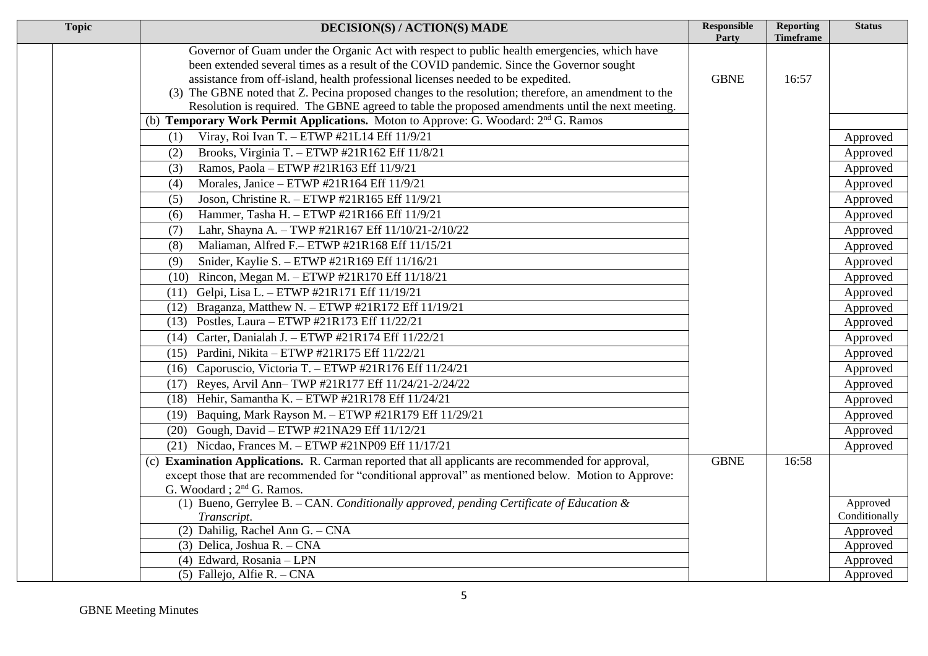| <b>Topic</b> | <b>DECISION(S) / ACTION(S) MADE</b>                                                                  | <b>Responsible</b><br>Party | <b>Reporting</b><br>Timeframe | <b>Status</b> |
|--------------|------------------------------------------------------------------------------------------------------|-----------------------------|-------------------------------|---------------|
|              | Governor of Guam under the Organic Act with respect to public health emergencies, which have         |                             |                               |               |
|              | been extended several times as a result of the COVID pandemic. Since the Governor sought             |                             |                               |               |
|              | assistance from off-island, health professional licenses needed to be expedited.                     | <b>GBNE</b>                 | 16:57                         |               |
|              | (3) The GBNE noted that Z. Pecina proposed changes to the resolution; therefore, an amendment to the |                             |                               |               |
|              | Resolution is required. The GBNE agreed to table the proposed amendments until the next meeting.     |                             |                               |               |
|              | (b) Temporary Work Permit Applications. Moton to Approve: G. Woodard: 2 <sup>nd</sup> G. Ramos       |                             |                               |               |
|              | Viray, Roi Ivan T. - ETWP #21L14 Eff 11/9/21<br>(1)                                                  |                             |                               | Approved      |
|              | Brooks, Virginia T. - ETWP #21R162 Eff 11/8/21<br>(2)                                                |                             |                               | Approved      |
|              | Ramos, Paola - ETWP #21R163 Eff 11/9/21<br>(3)                                                       |                             |                               | Approved      |
|              | Morales, Janice - ETWP #21R164 Eff 11/9/21<br>(4)                                                    |                             |                               | Approved      |
|              | Joson, Christine R. - ETWP #21R165 Eff 11/9/21<br>(5)                                                |                             |                               | Approved      |
|              | Hammer, Tasha H. - ETWP #21R166 Eff 11/9/21<br>(6)                                                   |                             |                               | Approved      |
|              | Lahr, Shayna A. - TWP #21R167 Eff 11/10/21-2/10/22<br>(7)                                            |                             |                               | Approved      |
|              | Maliaman, Alfred F.- ETWP #21R168 Eff 11/15/21<br>(8)                                                |                             |                               | Approved      |
|              | Snider, Kaylie S. - ETWP #21R169 Eff 11/16/21<br>(9)                                                 |                             |                               | Approved      |
|              | Rincon, Megan M. - ETWP #21R170 Eff 11/18/21<br>(10)                                                 |                             |                               | Approved      |
|              | Gelpi, Lisa L. - ETWP #21R171 Eff 11/19/21<br>(11)                                                   |                             |                               | Approved      |
|              | Braganza, Matthew N. - ETWP #21R172 Eff 11/19/21<br>(12)                                             |                             |                               | Approved      |
|              | Postles, Laura - ETWP #21R173 Eff 11/22/21<br>(13)                                                   |                             |                               | Approved      |
|              | Carter, Danialah J. - ETWP #21R174 Eff 11/22/21<br>(14)                                              |                             |                               | Approved      |
|              | Pardini, Nikita - ETWP #21R175 Eff 11/22/21<br>(15)                                                  |                             |                               | Approved      |
|              | Caporuscio, Victoria T. - ETWP #21R176 Eff 11/24/21<br>(16)                                          |                             |                               | Approved      |
|              | Reyes, Arvil Ann-TWP #21R177 Eff 11/24/21-2/24/22<br>(17)                                            |                             |                               | Approved      |
|              | Hehir, Samantha K. - ETWP #21R178 Eff 11/24/21<br>(18)                                               |                             |                               | Approved      |
|              | Baquing, Mark Rayson M. - ETWP #21R179 Eff 11/29/21<br>(19)                                          |                             |                               | Approved      |
|              | Gough, David - ETWP #21NA29 Eff 11/12/21<br>(20)                                                     |                             |                               | Approved      |
|              | (21) Nicdao, Frances M. - ETWP #21NP09 Eff $11/17/21$                                                |                             |                               | Approved      |
|              | (c) Examination Applications. R. Carman reported that all applicants are recommended for approval,   | <b>GBNE</b>                 | 16:58                         |               |
|              | except those that are recommended for "conditional approval" as mentioned below. Motion to Approve:  |                             |                               |               |
|              | G. Woodard; 2 <sup>nd</sup> G. Ramos.                                                                |                             |                               |               |
|              | (1) Bueno, Gerrylee B. - CAN. Conditionally approved, pending Certificate of Education &             |                             |                               | Approved      |
|              | Transcript.                                                                                          |                             |                               | Conditionally |
|              | (2) Dahilig, Rachel Ann G. $-$ CNA                                                                   |                             |                               | Approved      |
|              | (3) Delica, Joshua R. - CNA                                                                          |                             |                               | Approved      |
|              | (4) Edward, Rosania - LPN                                                                            |                             |                               | Approved      |
|              | (5) Fallejo, Alfie R. - CNA                                                                          |                             |                               | Approved      |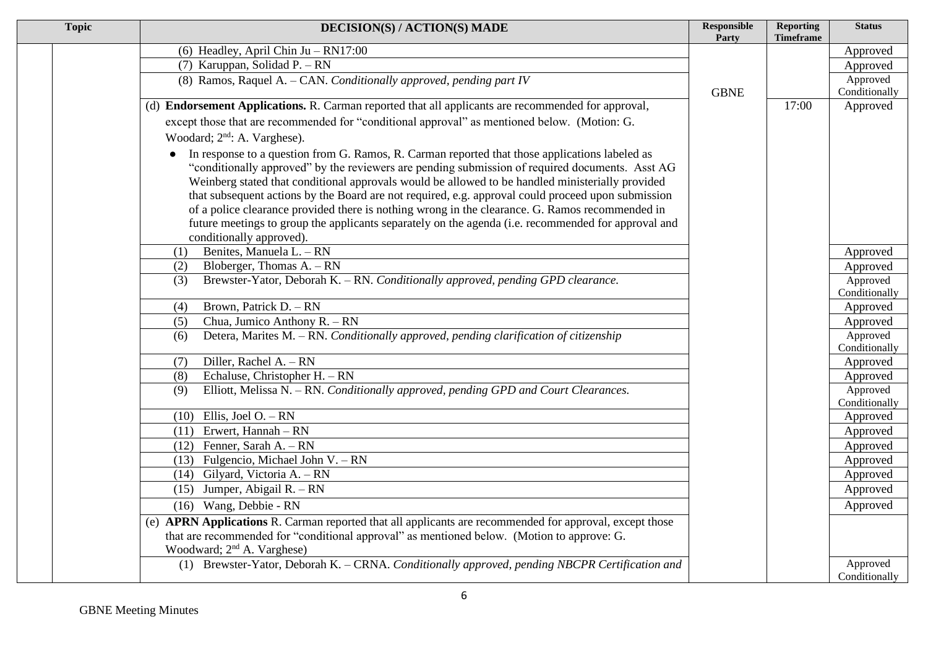| <b>Topic</b> | <b>DECISION(S) / ACTION(S) MADE</b>                                                                     | <b>Responsible</b><br>Party | <b>Reporting</b><br><b>Timeframe</b> | <b>Status</b>             |
|--------------|---------------------------------------------------------------------------------------------------------|-----------------------------|--------------------------------------|---------------------------|
|              | (6) Headley, April Chin Ju $-$ RN17:00                                                                  |                             |                                      | Approved                  |
|              | (7) Karuppan, Solidad P. - RN                                                                           |                             |                                      | Approved                  |
|              | (8) Ramos, Raquel A. - CAN. Conditionally approved, pending part IV                                     |                             |                                      | Approved                  |
|              |                                                                                                         | <b>GBNE</b>                 |                                      | Conditionally             |
|              | (d) Endorsement Applications. R. Carman reported that all applicants are recommended for approval,      |                             | 17:00                                | Approved                  |
|              | except those that are recommended for "conditional approval" as mentioned below. (Motion: G.            |                             |                                      |                           |
|              | Woodard; 2 <sup>nd</sup> : A. Varghese).                                                                |                             |                                      |                           |
|              | In response to a question from G. Ramos, R. Carman reported that those applications labeled as          |                             |                                      |                           |
|              | "conditionally approved" by the reviewers are pending submission of required documents. Asst AG         |                             |                                      |                           |
|              | Weinberg stated that conditional approvals would be allowed to be handled ministerially provided        |                             |                                      |                           |
|              | that subsequent actions by the Board are not required, e.g. approval could proceed upon submission      |                             |                                      |                           |
|              | of a police clearance provided there is nothing wrong in the clearance. G. Ramos recommended in         |                             |                                      |                           |
|              | future meetings to group the applicants separately on the agenda (i.e. recommended for approval and     |                             |                                      |                           |
|              | conditionally approved).                                                                                |                             |                                      |                           |
|              | Benites, Manuela L. - RN<br>(1)<br>Bloberger, Thomas $A - RN$                                           |                             |                                      | Approved                  |
|              | (2)<br>Brewster-Yator, Deborah K. - RN. Conditionally approved, pending GPD clearance.<br>(3)           |                             |                                      | Approved<br>Approved      |
|              |                                                                                                         |                             |                                      | Conditionally             |
|              | Brown, Patrick D. - RN<br>(4)                                                                           |                             |                                      | Approved                  |
|              | Chua, Jumico Anthony R. - RN<br>(5)                                                                     |                             |                                      | Approved                  |
|              | Detera, Marites M. - RN. Conditionally approved, pending clarification of citizenship<br>(6)            |                             |                                      | Approved                  |
|              |                                                                                                         |                             |                                      | Conditionally             |
|              | Diller, Rachel A. - RN<br>(7)                                                                           |                             |                                      | Approved                  |
|              | Echaluse, Christopher H. $- RN$<br>(8)                                                                  |                             |                                      | Approved                  |
|              | Elliott, Melissa N. - RN. Conditionally approved, pending GPD and Court Clearances.<br>(9)              |                             |                                      | Approved                  |
|              | $(10)$ Ellis, Joel O. - RN                                                                              |                             |                                      | Conditionally<br>Approved |
|              | $(11)$ Erwert, Hannah – RN                                                                              |                             |                                      | Approved                  |
|              | $(12)$ Fenner, Sarah A. - RN                                                                            |                             |                                      | Approved                  |
|              | $(13)$ Fulgencio, Michael John V. – RN                                                                  |                             |                                      | Approved                  |
|              | (14) Gilyard, Victoria A. - RN                                                                          |                             |                                      | Approved                  |
|              | $(15)$ Jumper, Abigail R. – RN                                                                          |                             |                                      | Approved                  |
|              | $(16)$ Wang, Debbie - RN                                                                                |                             |                                      | Approved                  |
|              | (e) APRN Applications R. Carman reported that all applicants are recommended for approval, except those |                             |                                      |                           |
|              | that are recommended for "conditional approval" as mentioned below. (Motion to approve: G.              |                             |                                      |                           |
|              | Woodward; 2 <sup>nd</sup> A. Varghese)                                                                  |                             |                                      |                           |
|              | (1) Brewster-Yator, Deborah K. - CRNA. Conditionally approved, pending NBCPR Certification and          |                             |                                      | Approved                  |
|              |                                                                                                         |                             |                                      | Conditionally             |